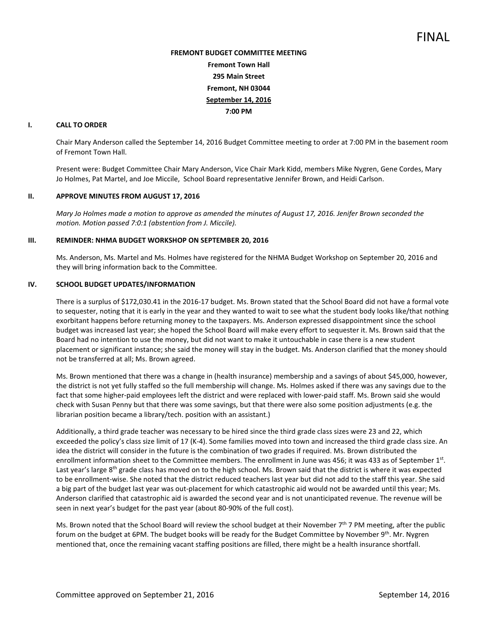# **FREMONT BUDGET COMMITTEE MEETING Fremont Town Hall 295 Main Street Fremont, NH 03044 September 14, 2016 7:00 PM**

# **I. CALL TO ORDER**

Chair Mary Anderson called the September 14, 2016 Budget Committee meeting to order at 7:00 PM in the basement room of Fremont Town Hall.

Present were: Budget Committee Chair Mary Anderson, Vice Chair Mark Kidd, members Mike Nygren, Gene Cordes, Mary Jo Holmes, Pat Martel, and Joe Miccile, School Board representative Jennifer Brown, and Heidi Carlson.

# **II. APPROVE MINUTES FROM AUGUST 17, 2016**

*Mary Jo Holmes made a motion to approve as amended the minutes of August 17, 2016. Jenifer Brown seconded the motion. Motion passed 7:0:1 (abstention from J. Miccile).* 

# **III. REMINDER: NHMA BUDGET WORKSHOP ON SEPTEMBER 20, 2016**

Ms. Anderson, Ms. Martel and Ms. Holmes have registered for the NHMA Budget Workshop on September 20, 2016 and they will bring information back to the Committee.

#### **IV. SCHOOL BUDGET UPDATES/INFORMATION**

There is a surplus of \$172,030.41 in the 2016-17 budget. Ms. Brown stated that the School Board did not have a formal vote to sequester, noting that it is early in the year and they wanted to wait to see what the student body looks like/that nothing exorbitant happens before returning money to the taxpayers. Ms. Anderson expressed disappointment since the school budget was increased last year; she hoped the School Board will make every effort to sequester it. Ms. Brown said that the Board had no intention to use the money, but did not want to make it untouchable in case there is a new student placement or significant instance; she said the money will stay in the budget. Ms. Anderson clarified that the money should not be transferred at all; Ms. Brown agreed.

Ms. Brown mentioned that there was a change in (health insurance) membership and a savings of about \$45,000, however, the district is not yet fully staffed so the full membership will change. Ms. Holmes asked if there was any savings due to the fact that some higher-paid employees left the district and were replaced with lower-paid staff. Ms. Brown said she would check with Susan Penny but that there was some savings, but that there were also some position adjustments (e.g. the librarian position became a library/tech. position with an assistant.)

Additionally, a third grade teacher was necessary to be hired since the third grade class sizes were 23 and 22, which exceeded the policy's class size limit of 17 (K-4). Some families moved into town and increased the third grade class size. An idea the district will consider in the future is the combination of two grades if required. Ms. Brown distributed the enrollment information sheet to the Committee members. The enrollment in June was 456; it was 433 as of September 1st. Last year's large 8<sup>th</sup> grade class has moved on to the high school. Ms. Brown said that the district is where it was expected to be enrollment-wise. She noted that the district reduced teachers last year but did not add to the staff this year. She said a big part of the budget last year was out-placement for which catastrophic aid would not be awarded until this year; Ms. Anderson clarified that catastrophic aid is awarded the second year and is not unanticipated revenue. The revenue will be seen in next year's budget for the past year (about 80-90% of the full cost).

Ms. Brown noted that the School Board will review the school budget at their November  $7<sup>th</sup>$  7 PM meeting, after the public forum on the budget at 6PM. The budget books will be ready for the Budget Committee by November 9<sup>th</sup>. Mr. Nygren mentioned that, once the remaining vacant staffing positions are filled, there might be a health insurance shortfall.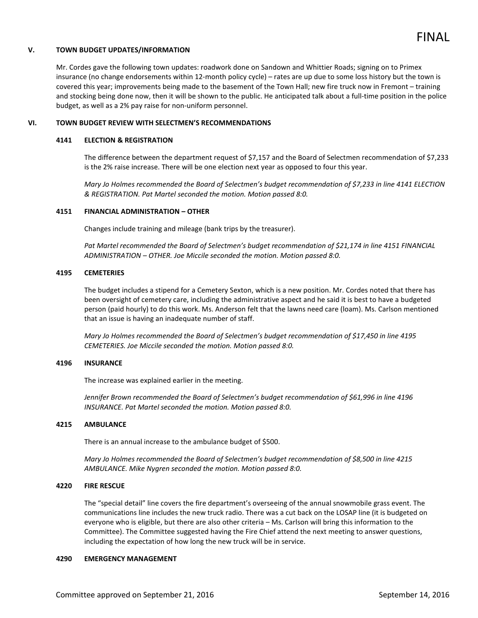# FINAL

#### **V. TOWN BUDGET UPDATES/INFORMATION**

Mr. Cordes gave the following town updates: roadwork done on Sandown and Whittier Roads; signing on to Primex insurance (no change endorsements within 12-month policy cycle) – rates are up due to some loss history but the town is covered this year; improvements being made to the basement of the Town Hall; new fire truck now in Fremont – training and stocking being done now, then it will be shown to the public. He anticipated talk about a full-time position in the police budget, as well as a 2% pay raise for non-uniform personnel.

#### **VI. TOWN BUDGET REVIEW WITH SELECTMEN'S RECOMMENDATIONS**

#### **4141 ELECTION & REGISTRATION**

The difference between the department request of \$7,157 and the Board of Selectmen recommendation of \$7,233 is the 2% raise increase. There will be one election next year as opposed to four this year.

*Mary Jo Holmes recommended the Board of Selectmen's budget recommendation of \$7,233 in line 4141 ELECTION & REGISTRATION. Pat Martel seconded the motion. Motion passed 8:0.* 

# **4151 FINANCIAL ADMINISTRATION – OTHER**

Changes include training and mileage (bank trips by the treasurer).

*Pat Martel recommended the Board of Selectmen's budget recommendation of \$21,174 in line 4151 FINANCIAL ADMINISTRATION – OTHER. Joe Miccile seconded the motion. Motion passed 8:0.* 

#### **4195 CEMETERIES**

The budget includes a stipend for a Cemetery Sexton, which is a new position. Mr. Cordes noted that there has been oversight of cemetery care, including the administrative aspect and he said it is best to have a budgeted person (paid hourly) to do this work. Ms. Anderson felt that the lawns need care (loam). Ms. Carlson mentioned that an issue is having an inadequate number of staff.

*Mary Jo Holmes recommended the Board of Selectmen's budget recommendation of \$17,450 in line 4195 CEMETERIES. Joe Miccile seconded the motion. Motion passed 8:0.* 

#### **4196 INSURANCE**

The increase was explained earlier in the meeting.

*Jennifer Brown recommended the Board of Selectmen's budget recommendation of \$61,996 in line 4196 INSURANCE. Pat Martel seconded the motion. Motion passed 8:0.* 

# **4215 AMBULANCE**

There is an annual increase to the ambulance budget of \$500.

*Mary Jo Holmes recommended the Board of Selectmen's budget recommendation of \$8,500 in line 4215 AMBULANCE. Mike Nygren seconded the motion. Motion passed 8:0.* 

#### **4220 FIRE RESCUE**

The "special detail" line covers the fire department's overseeing of the annual snowmobile grass event. The communications line includes the new truck radio. There was a cut back on the LOSAP line (it is budgeted on everyone who is eligible, but there are also other criteria – Ms. Carlson will bring this information to the Committee). The Committee suggested having the Fire Chief attend the next meeting to answer questions, including the expectation of how long the new truck will be in service.

#### **4290 EMERGENCY MANAGEMENT**